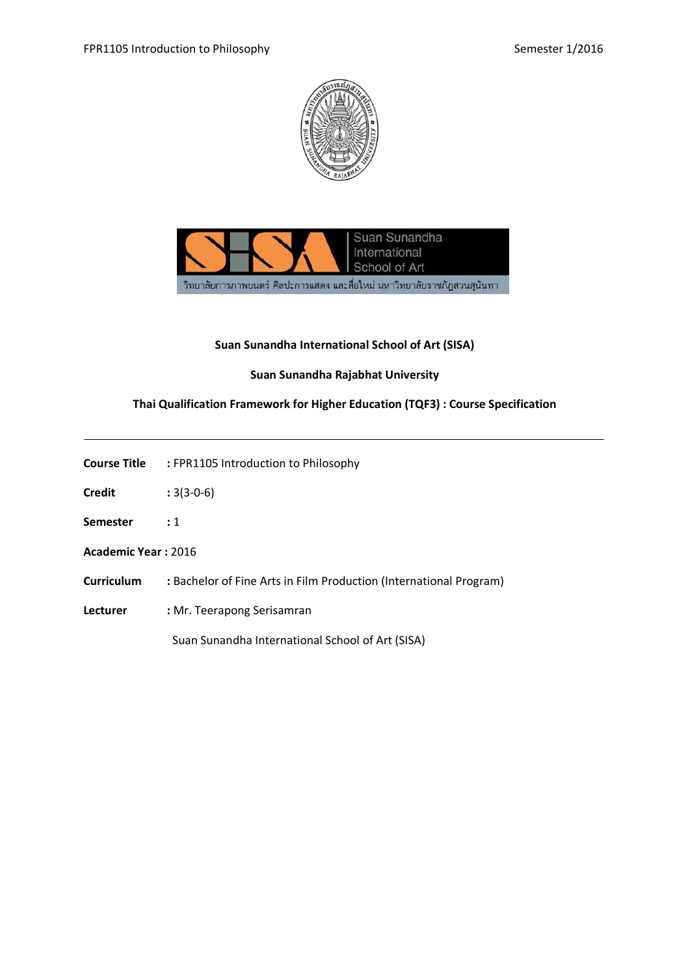



### **Suan Sunandha International School of Art (SISA)**

### **Suan Sunandha Rajabhat University**

### **Thai Qualification Framework for Higher Education (TQF3) : Course Specification**

**Course Title :** FPR1105 Introduction to Philosophy

**Credit :** 3(3-0-6)

**Semester :** 1

**Academic Year :** 2016

**Curriculum :** Bachelor of Fine Arts in Film Production (International Program)

**Lecturer :** Mr. Teerapong Serisamran

Suan Sunandha International School of Art (SISA)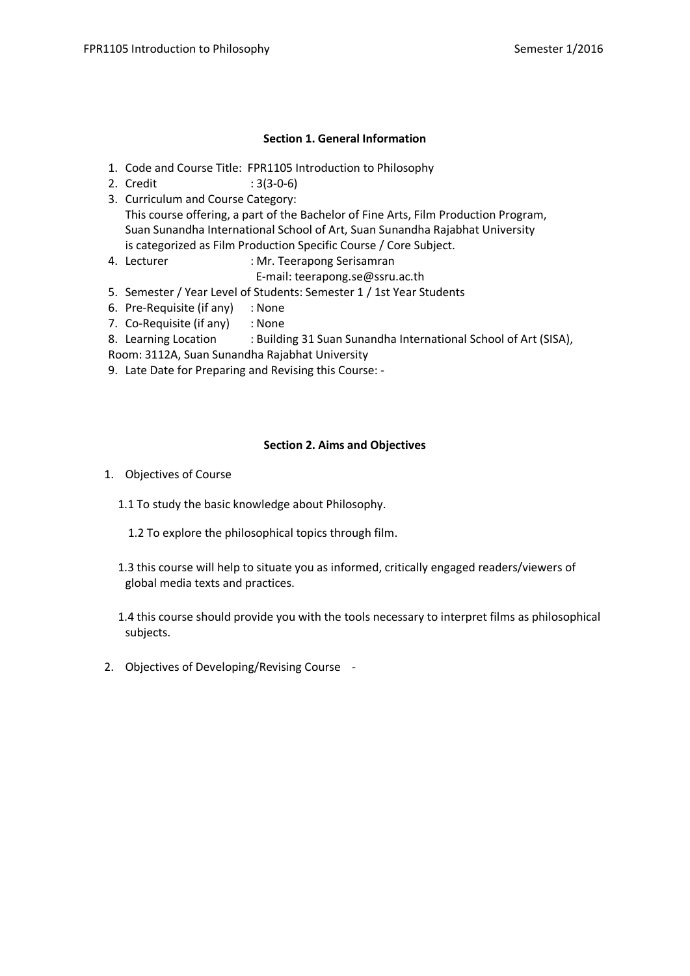### **Section 1. General Information**

- 1. Code and Course Title: FPR1105 Introduction to Philosophy
- 2. Credit : 3(3-0-6)
- 3. Curriculum and Course Category: This course offering, a part of the Bachelor of Fine Arts, Film Production Program, Suan Sunandha International School of Art, Suan Sunandha Rajabhat University is categorized as Film Production Specific Course / Core Subject.
- 4. Lecturer : Mr. Teerapong Serisamran
	- E-mail: teerapong.se@ssru.ac.th
- 5. Semester / Year Level of Students: Semester 1 / 1st Year Students
- 6. Pre-Requisite (if any) : None
- 7. Co-Requisite (if any) : None
- 8. Learning Location : Building 31 Suan Sunandha International School of Art (SISA),
- Room: 3112A, Suan Sunandha Rajabhat University
- 9. Late Date for Preparing and Revising this Course: -

### **Section 2. Aims and Objectives**

- 1. Objectives of Course
	- 1.1 To study the basic knowledge about Philosophy.
		- 1.2 To explore the philosophical topics through film.
	- 1.3 this course will help to situate you as informed, critically engaged readers/viewers of global media texts and practices.
	- 1.4 this course should provide you with the tools necessary to interpret films as philosophical subjects.
- 2. Objectives of Developing/Revising Course -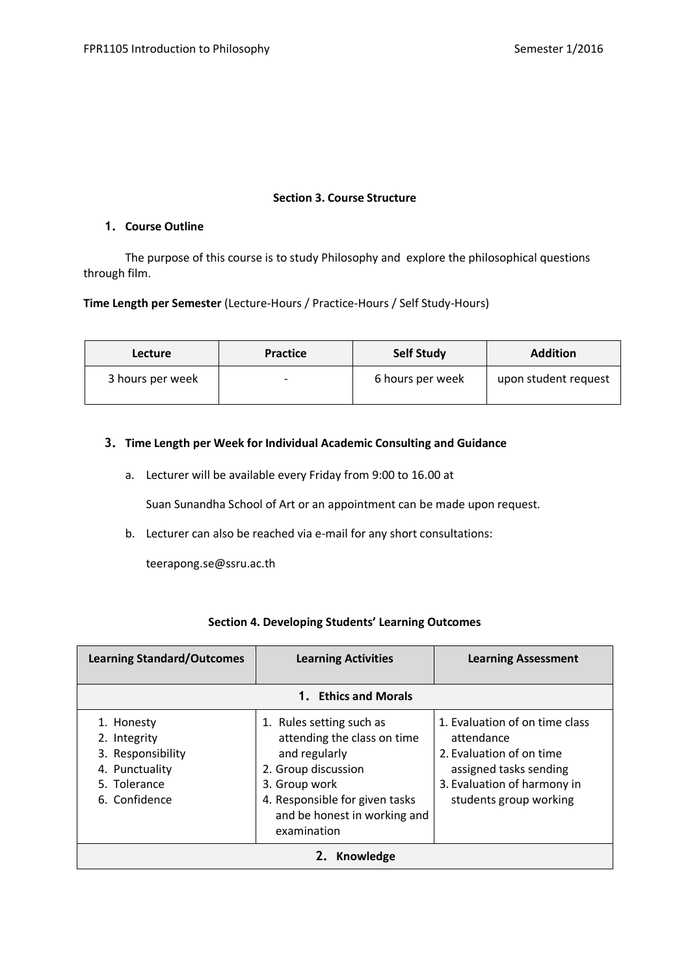## **Section 3. Course Structure**

### **1. Course Outline**

The purpose of this course is to study Philosophy and explore the philosophical questions through film.

### **Time Length per Semester** (Lecture-Hours / Practice-Hours / Self Study-Hours)

| <b>Lecture</b>   | <b>Practice</b> | <b>Self Study</b> | <b>Addition</b>      |
|------------------|-----------------|-------------------|----------------------|
| 3 hours per week | -               | 6 hours per week  | upon student request |

## **3. Time Length per Week for Individual Academic Consulting and Guidance**

a. Lecturer will be available every Friday from 9:00 to 16.00 at

Suan Sunandha School of Art or an appointment can be made upon request.

b. Lecturer can also be reached via e-mail for any short consultations:

teerapong.se@ssru.ac.th

| <b>Learning Standard/Outcomes</b>                                                                  | <b>Learning Activities</b>                                                                                                                                                                        | <b>Learning Assessment</b>                                                                                                                                  |  |
|----------------------------------------------------------------------------------------------------|---------------------------------------------------------------------------------------------------------------------------------------------------------------------------------------------------|-------------------------------------------------------------------------------------------------------------------------------------------------------------|--|
|                                                                                                    | 1. Ethics and Morals                                                                                                                                                                              |                                                                                                                                                             |  |
| 1. Honesty<br>2. Integrity<br>3. Responsibility<br>4. Punctuality<br>5. Tolerance<br>6. Confidence | 1. Rules setting such as<br>attending the class on time<br>and regularly<br>2. Group discussion<br>3. Group work<br>4. Responsible for given tasks<br>and be honest in working and<br>examination | 1. Evaluation of on time class<br>attendance<br>2. Evaluation of on time<br>assigned tasks sending<br>3. Evaluation of harmony in<br>students group working |  |
| Knowledge                                                                                          |                                                                                                                                                                                                   |                                                                                                                                                             |  |

## **Section 4. Developing Students' Learning Outcomes**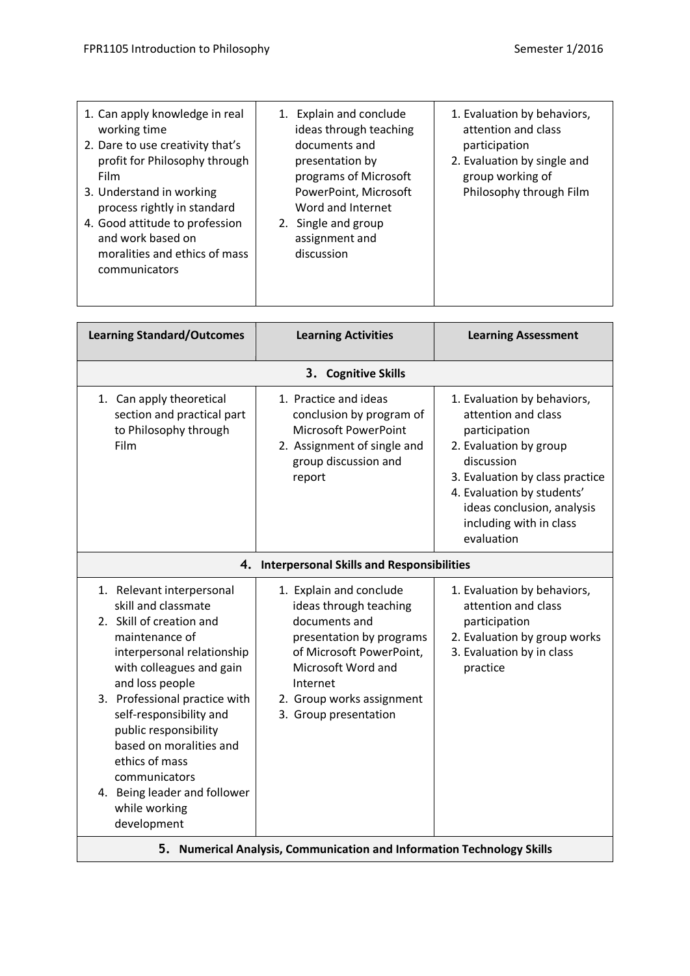| 1. Can apply knowledge in real                                                                                                       | 1. Explain and conclude                                                  | 1. Evaluation by behaviors, |
|--------------------------------------------------------------------------------------------------------------------------------------|--------------------------------------------------------------------------|-----------------------------|
| working time                                                                                                                         | ideas through teaching                                                   | attention and class         |
| 2. Dare to use creativity that's                                                                                                     | documents and                                                            | participation               |
| profit for Philosophy through                                                                                                        | presentation by                                                          | 2. Evaluation by single and |
| Film                                                                                                                                 | programs of Microsoft                                                    | group working of            |
| 3. Understand in working                                                                                                             | PowerPoint, Microsoft                                                    | Philosophy through Film     |
| process rightly in standard<br>4. Good attitude to profession<br>and work based on<br>moralities and ethics of mass<br>communicators | Word and Internet<br>2. Single and group<br>assignment and<br>discussion |                             |

| <b>Learning Standard/Outcomes</b>                                                                                                                                                                                                                                                                                                                                                              | <b>Learning Activities</b>                                                                                                                                                                                         | <b>Learning Assessment</b>                                                                                                                                                                                                                          |  |  |  |  |
|------------------------------------------------------------------------------------------------------------------------------------------------------------------------------------------------------------------------------------------------------------------------------------------------------------------------------------------------------------------------------------------------|--------------------------------------------------------------------------------------------------------------------------------------------------------------------------------------------------------------------|-----------------------------------------------------------------------------------------------------------------------------------------------------------------------------------------------------------------------------------------------------|--|--|--|--|
|                                                                                                                                                                                                                                                                                                                                                                                                | 3. Cognitive Skills                                                                                                                                                                                                |                                                                                                                                                                                                                                                     |  |  |  |  |
| 1. Can apply theoretical<br>section and practical part<br>to Philosophy through<br>Film                                                                                                                                                                                                                                                                                                        | 1. Practice and ideas<br>conclusion by program of<br><b>Microsoft PowerPoint</b><br>2. Assignment of single and<br>group discussion and<br>report                                                                  | 1. Evaluation by behaviors,<br>attention and class<br>participation<br>2. Evaluation by group<br>discussion<br>3. Evaluation by class practice<br>4. Evaluation by students'<br>ideas conclusion, analysis<br>including with in class<br>evaluation |  |  |  |  |
|                                                                                                                                                                                                                                                                                                                                                                                                | 4. Interpersonal Skills and Responsibilities                                                                                                                                                                       |                                                                                                                                                                                                                                                     |  |  |  |  |
| 1. Relevant interpersonal<br>skill and classmate<br>2. Skill of creation and<br>maintenance of<br>interpersonal relationship<br>with colleagues and gain<br>and loss people<br>3. Professional practice with<br>self-responsibility and<br>public responsibility<br>based on moralities and<br>ethics of mass<br>communicators<br>4. Being leader and follower<br>while working<br>development | 1. Explain and conclude<br>ideas through teaching<br>documents and<br>presentation by programs<br>of Microsoft PowerPoint,<br>Microsoft Word and<br>Internet<br>2. Group works assignment<br>3. Group presentation | 1. Evaluation by behaviors,<br>attention and class<br>participation<br>2. Evaluation by group works<br>3. Evaluation by in class<br>practice                                                                                                        |  |  |  |  |
|                                                                                                                                                                                                                                                                                                                                                                                                | 5. Numerical Analysis, Communication and Information Technology Skills                                                                                                                                             |                                                                                                                                                                                                                                                     |  |  |  |  |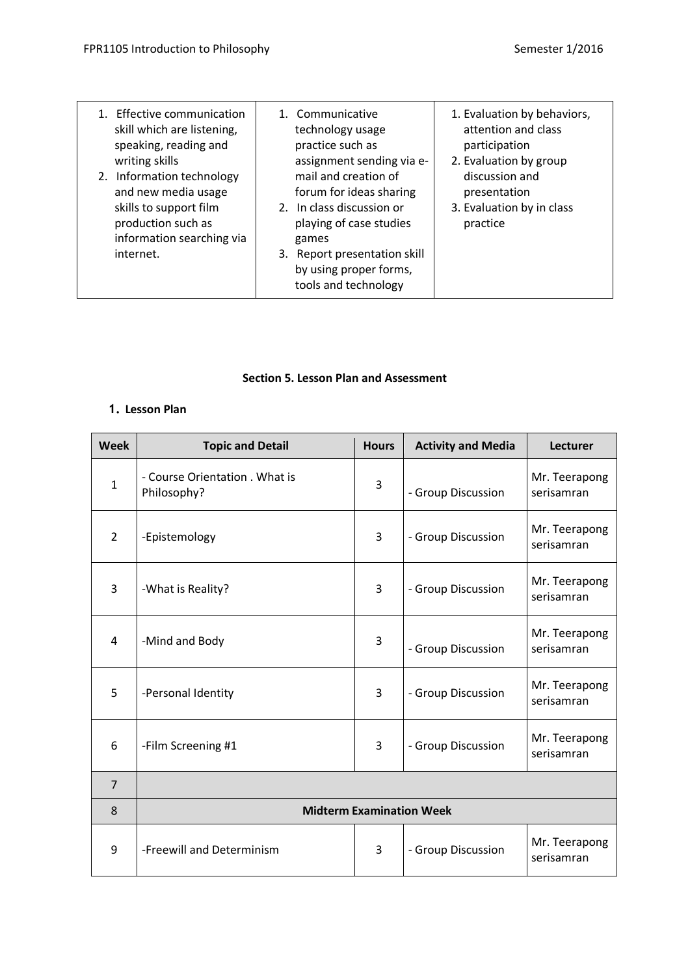| 1. Effective communication<br>skill which are listening,<br>speaking, reading and<br>writing skills<br>2. Information technology<br>and new media usage<br>skills to support film<br>production such as<br>information searching via<br>internet. | 1. Communicative<br>technology usage<br>practice such as<br>assignment sending via e-<br>mail and creation of<br>forum for ideas sharing<br>2. In class discussion or<br>playing of case studies<br>games<br>3. Report presentation skill | 1. Evaluation by behaviors,<br>attention and class<br>participation<br>2. Evaluation by group<br>discussion and<br>presentation<br>3. Evaluation by in class<br>practice |
|---------------------------------------------------------------------------------------------------------------------------------------------------------------------------------------------------------------------------------------------------|-------------------------------------------------------------------------------------------------------------------------------------------------------------------------------------------------------------------------------------------|--------------------------------------------------------------------------------------------------------------------------------------------------------------------------|
|                                                                                                                                                                                                                                                   | by using proper forms,<br>tools and technology                                                                                                                                                                                            |                                                                                                                                                                          |

## **Section 5. Lesson Plan and Assessment**

## **1. Lesson Plan**

| <b>Week</b>    | <b>Topic and Detail</b>                       | <b>Hours</b>   | <b>Activity and Media</b> | Lecturer                    |
|----------------|-----------------------------------------------|----------------|---------------------------|-----------------------------|
| $\mathbf{1}$   | - Course Orientation . What is<br>Philosophy? | 3              | - Group Discussion        | Mr. Teerapong<br>serisamran |
| $\overline{2}$ | -Epistemology                                 | $\overline{3}$ | - Group Discussion        | Mr. Teerapong<br>serisamran |
| 3              | -What is Reality?                             | 3              | - Group Discussion        | Mr. Teerapong<br>serisamran |
| $\overline{4}$ | -Mind and Body                                | 3              | - Group Discussion        | Mr. Teerapong<br>serisamran |
| 5              | -Personal Identity                            | 3              | - Group Discussion        | Mr. Teerapong<br>serisamran |
| 6              | -Film Screening #1                            | 3              | - Group Discussion        | Mr. Teerapong<br>serisamran |
| $\overline{7}$ |                                               |                |                           |                             |
| 8              | <b>Midterm Examination Week</b>               |                |                           |                             |
| 9              | -Freewill and Determinism                     | 3              | - Group Discussion        | Mr. Teerapong<br>serisamran |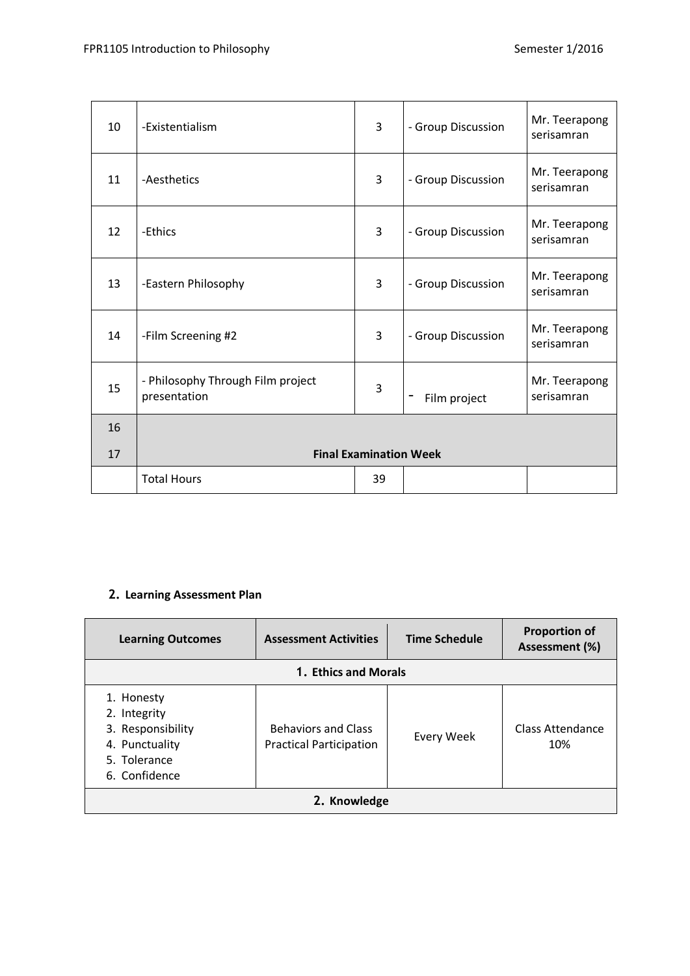| 10 | -Existentialism                                   | 3  | - Group Discussion | Mr. Teerapong<br>serisamran |
|----|---------------------------------------------------|----|--------------------|-----------------------------|
| 11 | -Aesthetics                                       | 3  | - Group Discussion | Mr. Teerapong<br>serisamran |
| 12 | -Ethics                                           | 3  | - Group Discussion | Mr. Teerapong<br>serisamran |
| 13 | -Eastern Philosophy                               | 3  | - Group Discussion | Mr. Teerapong<br>serisamran |
| 14 | -Film Screening #2                                | 3  | - Group Discussion | Mr. Teerapong<br>serisamran |
| 15 | - Philosophy Through Film project<br>presentation | 3  | -<br>Film project  | Mr. Teerapong<br>serisamran |
| 16 |                                                   |    |                    |                             |
| 17 | <b>Final Examination Week</b>                     |    |                    |                             |
|    | <b>Total Hours</b>                                | 39 |                    |                             |

# **2. Learning Assessment Plan**

| <b>Learning Outcomes</b>                                                                           | <b>Assessment Activities</b>                                 | <b>Time Schedule</b> | <b>Proportion of</b><br>Assessment (%) |  |
|----------------------------------------------------------------------------------------------------|--------------------------------------------------------------|----------------------|----------------------------------------|--|
| 1. Ethics and Morals                                                                               |                                                              |                      |                                        |  |
| 1. Honesty<br>2. Integrity<br>3. Responsibility<br>4. Punctuality<br>5. Tolerance<br>6. Confidence | <b>Behaviors and Class</b><br><b>Practical Participation</b> | Every Week           | Class Attendance<br>10%                |  |
| 2. Knowledge                                                                                       |                                                              |                      |                                        |  |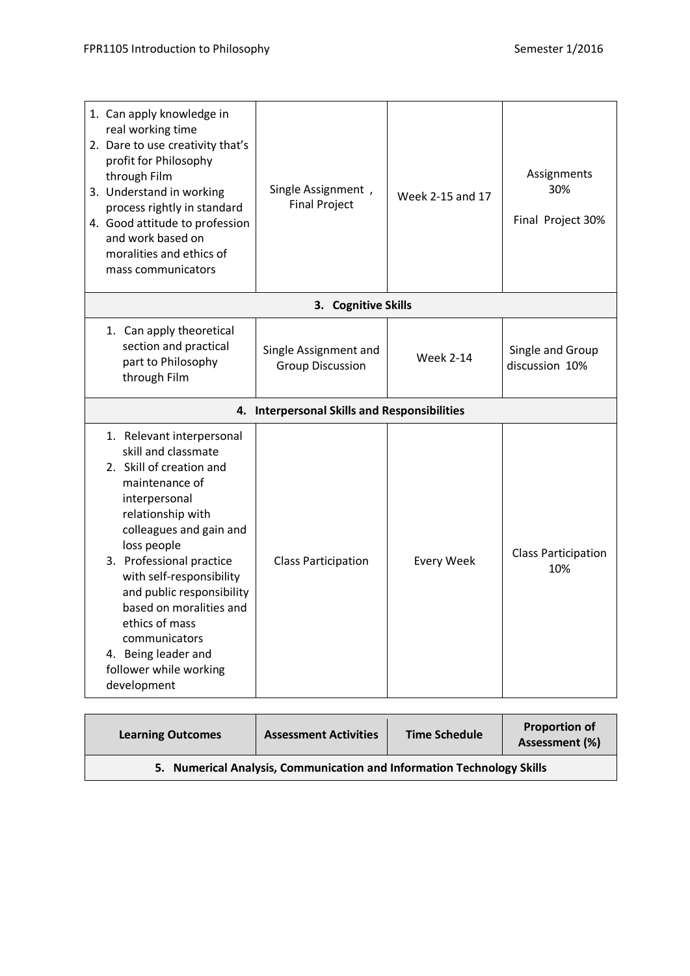| 1. Can apply knowledge in<br>real working time<br>2. Dare to use creativity that's<br>profit for Philosophy<br>through Film<br>3. Understand in working<br>process rightly in standard<br>4. Good attitude to profession<br>and work based on<br>moralities and ethics of<br>mass communicators                                                                                                   | Single Assignment,<br><b>Final Project</b>       | Week 2-15 and 17  | Assignments<br>30%<br>Final Project 30% |
|---------------------------------------------------------------------------------------------------------------------------------------------------------------------------------------------------------------------------------------------------------------------------------------------------------------------------------------------------------------------------------------------------|--------------------------------------------------|-------------------|-----------------------------------------|
|                                                                                                                                                                                                                                                                                                                                                                                                   | 3. Cognitive Skills                              |                   |                                         |
| 1. Can apply theoretical<br>section and practical<br>part to Philosophy<br>through Film                                                                                                                                                                                                                                                                                                           | Single Assignment and<br><b>Group Discussion</b> | <b>Week 2-14</b>  | Single and Group<br>discussion 10%      |
| 4.                                                                                                                                                                                                                                                                                                                                                                                                | <b>Interpersonal Skills and Responsibilities</b> |                   |                                         |
| 1. Relevant interpersonal<br>skill and classmate<br>2. Skill of creation and<br>maintenance of<br>interpersonal<br>relationship with<br>colleagues and gain and<br>loss people<br>3. Professional practice<br>with self-responsibility<br>and public responsibility<br>based on moralities and<br>ethics of mass<br>communicators<br>4. Being leader and<br>follower while working<br>development | <b>Class Participation</b>                       | <b>Every Week</b> | <b>Class Participation</b><br>10%       |

| <b>Learning Outcomes</b>                                               | <b>Assessment Activities</b> | <b>Time Schedule</b> | <b>Proportion of</b><br>Assessment (%) |
|------------------------------------------------------------------------|------------------------------|----------------------|----------------------------------------|
| 5. Numerical Analysis, Communication and Information Technology Skills |                              |                      |                                        |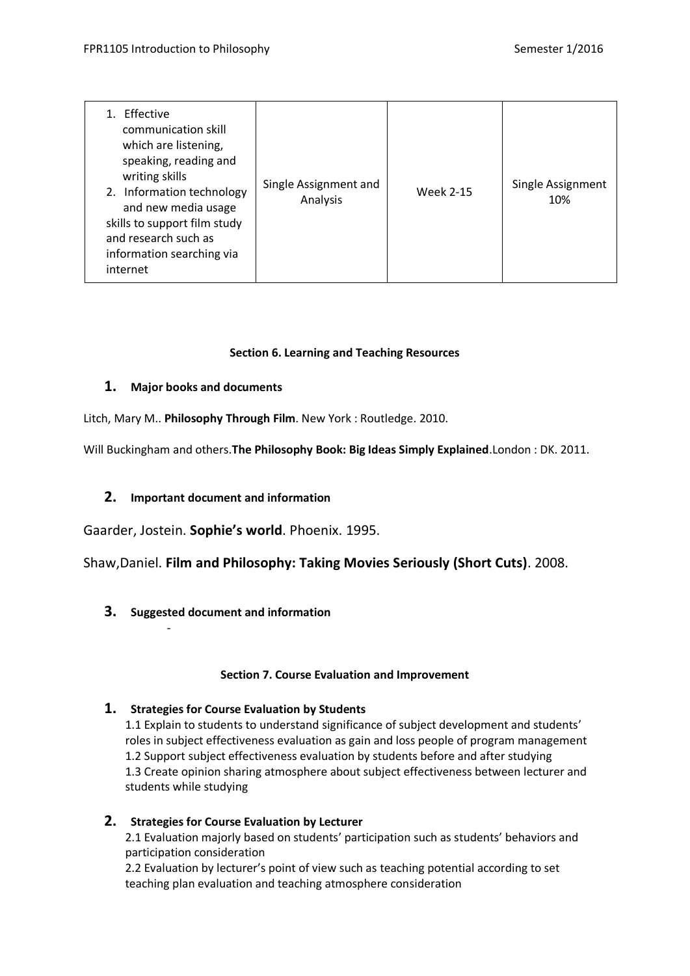| <b>Effective</b><br>communication skill<br>which are listening,<br>speaking, reading and<br>writing skills<br>2. Information technology<br>and new media usage<br>skills to support film study<br>and research such as<br>information searching via<br>internet | Single Assignment and<br>Analysis | <b>Week 2-15</b> | Single Assignment<br>10% |
|-----------------------------------------------------------------------------------------------------------------------------------------------------------------------------------------------------------------------------------------------------------------|-----------------------------------|------------------|--------------------------|
|-----------------------------------------------------------------------------------------------------------------------------------------------------------------------------------------------------------------------------------------------------------------|-----------------------------------|------------------|--------------------------|

## **Section 6. Learning and Teaching Resources**

## **1. Major books and documents**

Litch, Mary M.. **Philosophy Through Film**. New York : Routledge. 2010.

Will Buckingham and others.**The Philosophy Book: Big Ideas Simply Explained**.London : DK. 2011.

## **2. Important document and information**

Gaarder, Jostein. **Sophie's world**. Phoenix. 1995.

Shaw,Daniel. **Film and Philosophy: Taking Movies Seriously (Short Cuts)**. 2008.

**3. Suggested document and information**

-

## **Section 7. Course Evaluation and Improvement**

## **1. Strategies for Course Evaluation by Students**

1.1 Explain to students to understand significance of subject development and students' roles in subject effectiveness evaluation as gain and loss people of program management 1.2 Support subject effectiveness evaluation by students before and after studying 1.3 Create opinion sharing atmosphere about subject effectiveness between lecturer and students while studying

**2. Strategies for Course Evaluation by Lecturer**

2.1 Evaluation majorly based on students' participation such as students' behaviors and participation consideration

2.2 Evaluation by lecturer's point of view such as teaching potential according to set teaching plan evaluation and teaching atmosphere consideration